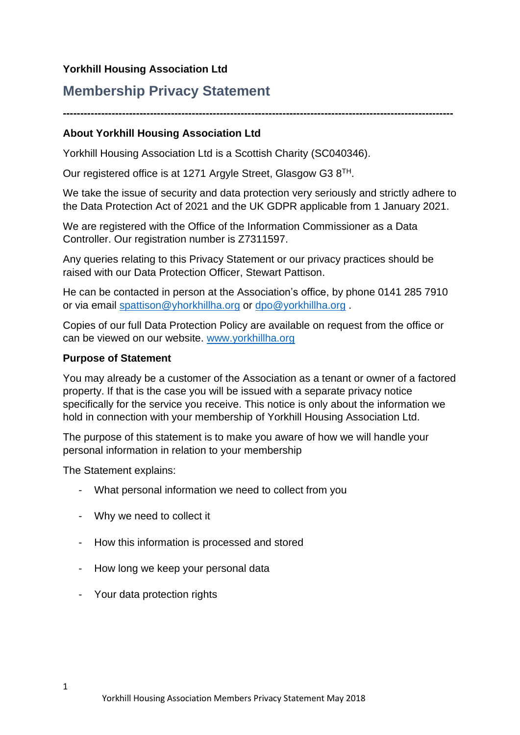# **Yorkhill Housing Association Ltd**

# **Membership Privacy Statement**

**----------------------------------------------------------------------------------------------------------------**

# **About Yorkhill Housing Association Ltd**

Yorkhill Housing Association Ltd is a Scottish Charity (SC040346).

Our registered office is at 1271 Argyle Street, Glasgow G3 8TH.

We take the issue of security and data protection very seriously and strictly adhere to the Data Protection Act of 2021 and the UK GDPR applicable from 1 January 2021.

We are registered with the Office of the Information Commissioner as a Data Controller. Our registration number is Z7311597.

Any queries relating to this Privacy Statement or our privacy practices should be raised with our Data Protection Officer, Stewart Pattison.

He can be contacted in person at the Association's office, by phone 0141 285 7910 or via email [spattison@yhorkhillha.org](mailto:spattison@yhorkhillha.org) or [dpo@yorkhillha.org](mailto:dpo@yorkhillha.org) .

Copies of our full Data Protection Policy are available on request from the office or can be viewed on our website. [www.yorkhillha.org](http://www.yorkhillha.org/)

## **Purpose of Statement**

You may already be a customer of the Association as a tenant or owner of a factored property. If that is the case you will be issued with a separate privacy notice specifically for the service you receive. This notice is only about the information we hold in connection with your membership of Yorkhill Housing Association Ltd.

The purpose of this statement is to make you aware of how we will handle your personal information in relation to your membership

The Statement explains:

- What personal information we need to collect from you
- Why we need to collect it
- How this information is processed and stored
- How long we keep your personal data
- Your data protection rights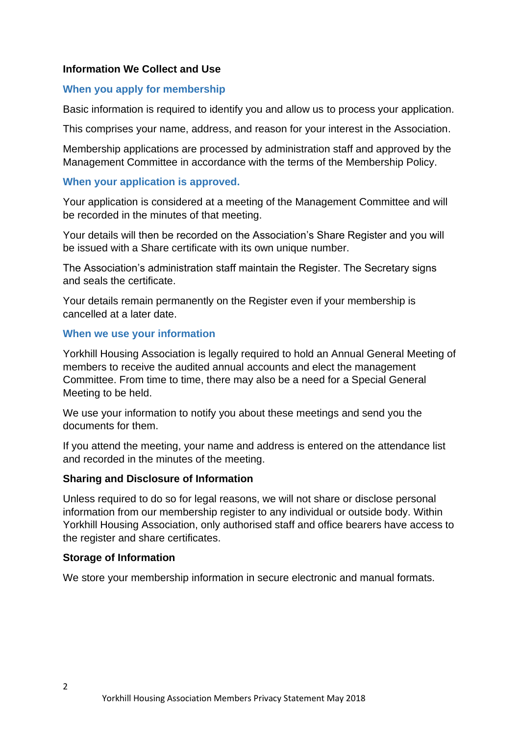## **Information We Collect and Use**

#### **When you apply for membership**

Basic information is required to identify you and allow us to process your application.

This comprises your name, address, and reason for your interest in the Association.

Membership applications are processed by administration staff and approved by the Management Committee in accordance with the terms of the Membership Policy.

#### **When your application is approved.**

Your application is considered at a meeting of the Management Committee and will be recorded in the minutes of that meeting.

Your details will then be recorded on the Association's Share Register and you will be issued with a Share certificate with its own unique number.

The Association's administration staff maintain the Register. The Secretary signs and seals the certificate.

Your details remain permanently on the Register even if your membership is cancelled at a later date.

#### **When we use your information**

Yorkhill Housing Association is legally required to hold an Annual General Meeting of members to receive the audited annual accounts and elect the management Committee. From time to time, there may also be a need for a Special General Meeting to be held.

We use your information to notify you about these meetings and send you the documents for them.

If you attend the meeting, your name and address is entered on the attendance list and recorded in the minutes of the meeting.

#### **Sharing and Disclosure of Information**

Unless required to do so for legal reasons, we will not share or disclose personal information from our membership register to any individual or outside body. Within Yorkhill Housing Association, only authorised staff and office bearers have access to the register and share certificates.

#### **Storage of Information**

We store your membership information in secure electronic and manual formats.